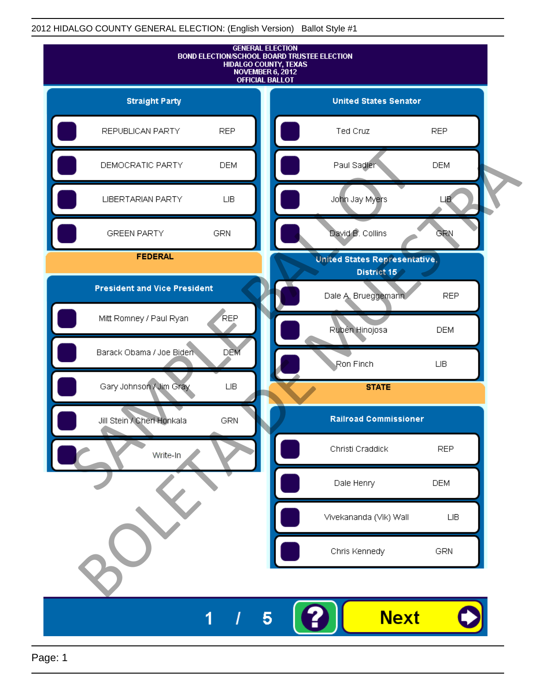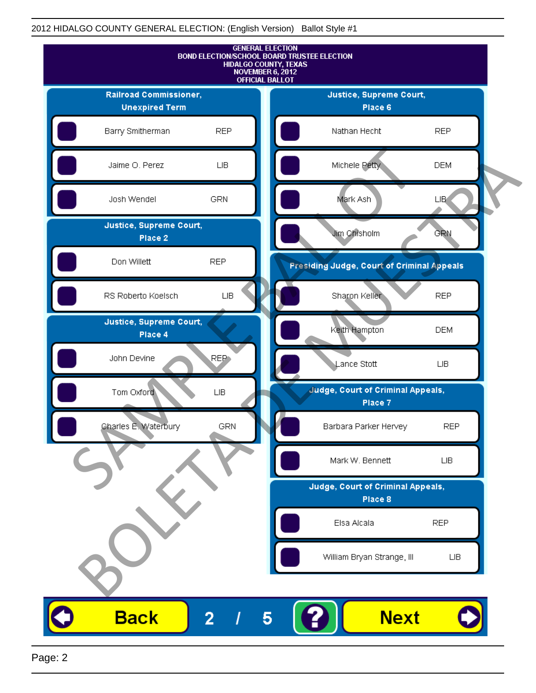

Page: 2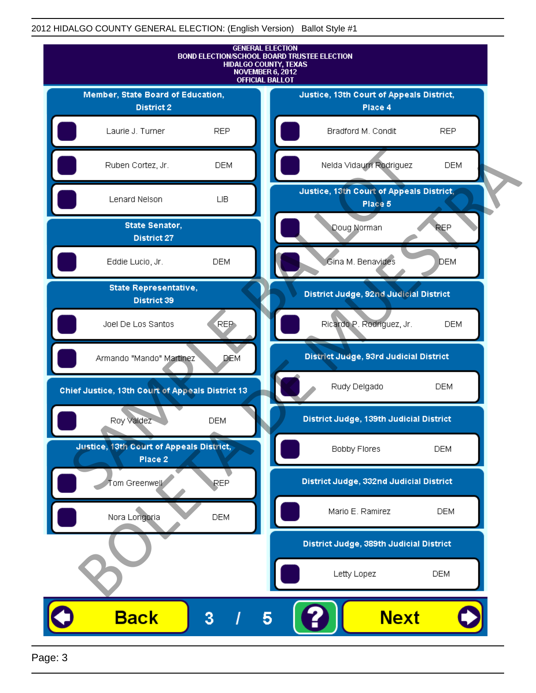

Page: 3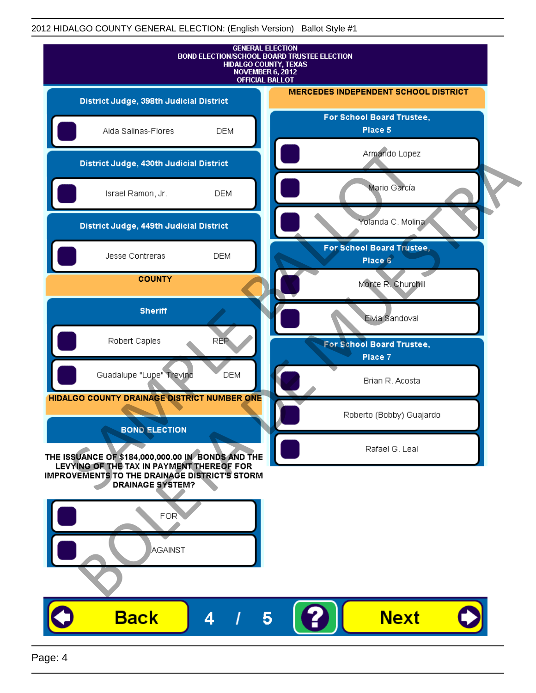| <b>GENERAL ELECTION</b><br>BOND ELECTION/SCHOOL BOARD TRUSTEE ELECTION<br><b>HIDALGO COUNTY, TEXAS</b><br><b>NOVEMBER 6, 2012</b><br><b>OFFICIAL BALLOT</b> |                                             |            |                                             |
|-------------------------------------------------------------------------------------------------------------------------------------------------------------|---------------------------------------------|------------|---------------------------------------------|
| District Judge, 398th Judicial District                                                                                                                     |                                             |            | <b>MERCEDES INDEPENDENT SCHOOL DISTRICT</b> |
|                                                                                                                                                             | Aida Salinas-Flores                         | <b>DEM</b> | For School Board Trustee,<br>Place 5        |
|                                                                                                                                                             | District Judge, 430th Judicial District     |            | Armando Lopez                               |
|                                                                                                                                                             | Israel Ramon, Jr.                           | <b>DEM</b> | Mario García                                |
|                                                                                                                                                             | District Judge, 449th Judicial District     |            | Yolanda C. Molina                           |
|                                                                                                                                                             | Jesse Contreras                             | <b>DEM</b> | For School Board Trustee.<br>Place 6        |
|                                                                                                                                                             | <b>COUNTY</b>                               |            | Monte R. Churchill                          |
|                                                                                                                                                             | <b>Sheriff</b>                              |            | Elvia Sandoval                              |
|                                                                                                                                                             | Robert Caples                               | <b>REP</b> | For School Board Trustee,<br>Place 7        |
|                                                                                                                                                             | Guadalupe "Lupe" Trevino                    | <b>DEM</b> | Brian R. Acosta                             |
|                                                                                                                                                             | HIDALGO COUNTY DRAINAGE DISTRICT NUMBER ONE |            | Roberto (Bobby) Guajardo                    |
|                                                                                                                                                             | <b>BOND ELECTION</b>                        |            | Rafael G. Leal                              |
| THE ISSUANCE OF \$184,000,000.00 IN BONDS AND THE<br>LEVYING OF THE TAX IN PAYMENT THEREOF FOR<br>IMPROVEMENTS TO THE DRAINAGE DISTRICT'S STORM             |                                             |            |                                             |
|                                                                                                                                                             | <b>DRAINAGE SYSTEM?</b>                     |            |                                             |
|                                                                                                                                                             | FOR                                         |            |                                             |
|                                                                                                                                                             | AGAINST                                     |            |                                             |
|                                                                                                                                                             |                                             |            |                                             |
|                                                                                                                                                             | <b>Back</b>                                 | Δ          | <b>Next</b><br>5                            |
|                                                                                                                                                             |                                             |            |                                             |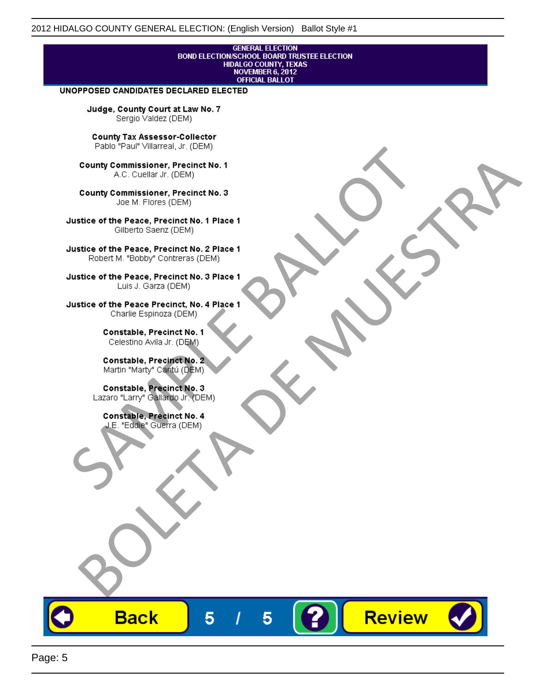# **GENERAL ELECTION** BOND ELECTION/SCHOOL BOARD TRUSTEE ELECTION<br>HIDALGO COUNTY, TEXAS<br>NOVEMBER 6, 2012<br>OFFICIAL BALLOT

Review

#### UNOPPOSED CANDIDATES DECLARED ELECTED

Judge, County Court at Law No. 7 Sergio Valdez (DEM)

County Tax Assessor-Collector

Frame The Passe, Precinct No. 1<br>
County Commissioner, Precinct No. 1<br>
SC. Cutellar Jr. (DEM)<br>
County Commissioner, Precinct No. 2<br>
Ulastice of the Peace, Precinct No. 2<br>
Ulastice of the Peace, Precinct No. 2<br>
Robert M. "Bl County Commissioner, Precinat No. 1<br>
A County Commissioner, Precinat No. 3<br>
Use of the Peace, Precinat No. 3<br>
Use of the Peace, Precinat No. 1<br>
There is a precinc No. 2<br>
There is a precinc No. 2<br>
There is a precinc No. 2<br>

**Back** 

5

5

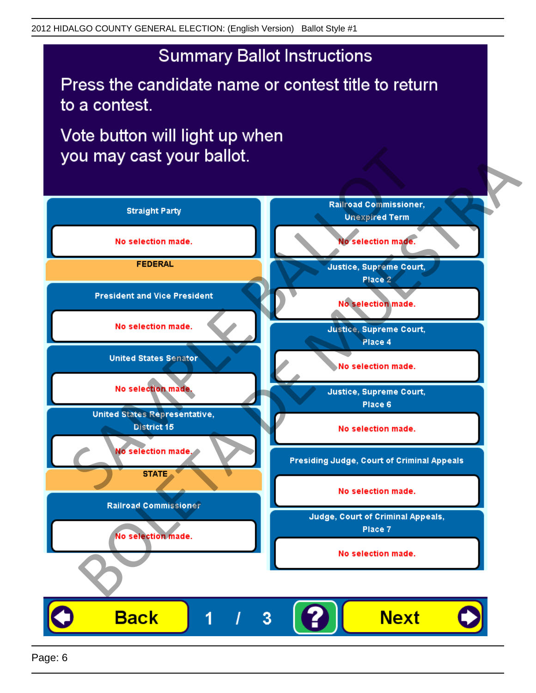## **Summary Ballot Instructions**

Press the candidate name or contest title to return to a contest.

Vote button will light up when

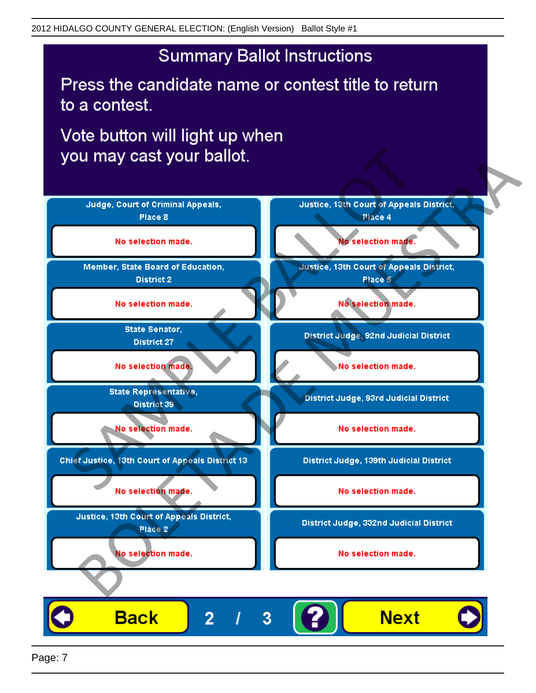## **Summary Ballot Instructions**

Press the candidate name or contest title to return to a contest.

Vote button will light up when



Page: 7